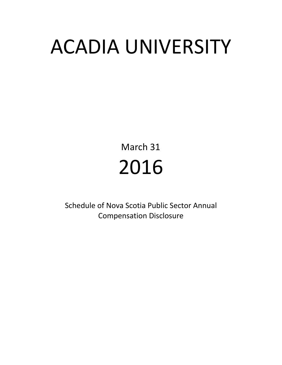# ACADIA UNIVERSITY

March 31 2016

Schedule of Nova Scotia Public Sector Annual Compensation Disclosure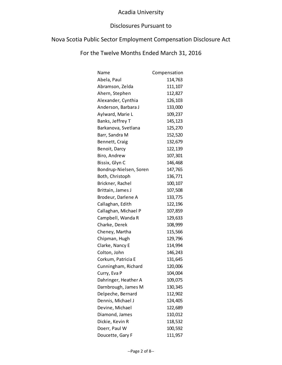### Disclosures Pursuant to

# Nova Scotia Public Sector Employment Compensation Disclosure Act

| Name                   | Compensation |
|------------------------|--------------|
| Abela, Paul            | 114,763      |
| Abramson, Zelda        | 111,107      |
| Ahern, Stephen         | 112,827      |
| Alexander, Cynthia     | 126,103      |
| Anderson, Barbara J    | 133,000      |
| Aylward, Marie L       | 109,237      |
| Banks, Jeffrey T       | 145,123      |
| Barkanova, Svetlana    | 125,270      |
| Barr, Sandra M         | 152,520      |
| Bennett, Craig         | 132,679      |
| Benoit, Darcy          | 122,139      |
| Biro, Andrew           | 107,301      |
| Bissix, Glyn C         | 146,468      |
| Bondrup-Nielsen, Soren | 147,765      |
| Both, Christoph        | 136,771      |
| Brickner, Rachel       | 100,107      |
| Brittain, James J      | 107,508      |
| Brodeur, Darlene A     | 133,775      |
| Callaghan, Edith       | 122,196      |
| Callaghan, Michael P   | 107,859      |
| Campbell, Wanda R      | 129,633      |
| Charke, Derek          | 108,999      |
| Cheney, Martha         | 115,566      |
| Chipman, Hugh          | 129,796      |
| Clarke, Nancy E        | 114,994      |
| Colton, John           | 146,243      |
| Corkum, Patricia E     | 131,645      |
| Cunningham, Richard    | 120,006      |
| Curry, Eva P           | 104,004      |
| Dahringer, Heather A   | 109,075      |
| Darnbrough, James M    | 130,345      |
| Delpeche, Bernard      | 112,902      |
| Dennis, Michael J      | 124,405      |
| Devine, Michael        | 122,689      |
| Diamond, James         | 110,012      |
| Dickie, Kevin R        | 118,532      |
| Doerr, Paul W          | 100,592      |
| Doucette, Gary F       | 111,957      |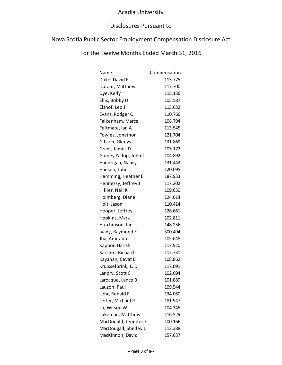### Disclosures Pursuant to

# Nova Scotia Public Sector Employment Compensation Disclosure Act

| Name                  | Compensation |
|-----------------------|--------------|
| Duke, David F         | 113,775      |
| Durant, Matthew       | 117,700      |
| Dye, Kelly            | 115,136      |
| Ellis, Bobby D        | 105,587      |
| Elshof, Leo J         | 113,632      |
| Evans, Rodger C       | 110,766      |
| Falkenham, Marcel     | 108,794      |
| Feltmate, Ian A       | 113,545      |
| Fowles, Jonathon      | 121,704      |
| Gibson, Glenys        | 131,869      |
| Grant, James D        | 105,172      |
| Guiney Yallop, John J | 104,892      |
| Handrigan, Nancy      | 131,443      |
| Hansen, John          | 120,095      |
| Hemming, Heather E    | 187,933      |
| Hennessy, Jeffrey J   | 117,202      |
| Hillier, Neil K       | 109,630      |
| Holmberg, Diane       | 124,614      |
| Holt, Jason           | 110,414      |
| Hooper, Jeffrey       | 128,661      |
| Hopkins, Mark         | 102,811      |
| Hutchinson, Ian       | 148,256      |
| Ivany, Raymond E      | 300,494      |
| Jha, Amitabh          | 105,648      |
| Kapoor, Harish        | 117,920      |
| Karsten, Richard      | 112,731      |
| Kayahan, Cevat B      | 108,862      |
| Kruisselbrink, L. D   | 117,091      |
| Landry, Scott C       | 102,694      |
| Larocque, Lance B     | 101,889      |
| Lauzon, Paul          | 109,544      |
| Lehr, Ronald F        | 134,060      |
| Leiter, Michael P     | 181,947      |
| Lu, Wilson W          | 104,345      |
| Lukeman, Matthew      | 116,529      |
| MacDonald, Jennifer E | 100,166      |
| MacDougall, Shelley L | 113,388      |
| MacKinnon, David      | 157,637      |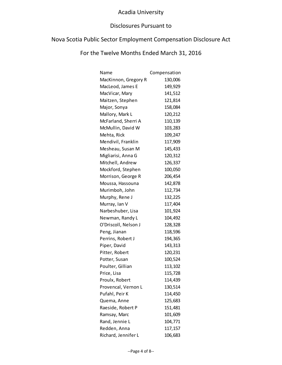### Disclosures Pursuant to

# Nova Scotia Public Sector Employment Compensation Disclosure Act

| Name                 | Compensation |
|----------------------|--------------|
| MacKinnon, Gregory R | 130,006      |
| MacLeod, James E     | 149,929      |
| MacVicar, Mary       | 141,512      |
| Maitzen, Stephen     | 121,814      |
| Major, Sonya         | 158,084      |
| Mallory, Mark L      | 120,212      |
| McFarland, Sherri A  | 110,139      |
| McMullin, David W    | 103,283      |
| Mehta, Rick          | 109,247      |
| Mendivil, Franklin   | 117,909      |
| Mesheau, Susan M     | 145,433      |
| Migliarisi, Anna G   | 120,312      |
| Mitchell, Andrew     | 126,337      |
| Mockford, Stephen    | 100,050      |
| Morrison, George R   | 206,454      |
| Moussa, Hassouna     | 142,878      |
| Murimboh, John       | 112,734      |
| Murphy, Rene J       | 132,225      |
| Murray, Ian V        | 117,404      |
| Narbeshuber, Lisa    | 101,924      |
| Newman, Randy L      | 104,492      |
| O'Driscoll, Nelson J | 128,328      |
| Peng, Jianan         | 118,596      |
| Perrins, Robert J    | 194,365      |
| Piper, David         | 143,313      |
| Pitter, Robert       | 120,231      |
| Potter, Susan        | 100,524      |
| Poulter, Gillian     | 113,102      |
| Price, Lisa          | 115,728      |
| Proulx, Robert       | 114,439      |
| Provencal, Vernon L  | 130,514      |
| Pufahl, Peir K       | 114,450      |
| Quema, Anne          | 125,683      |
| Raeside, Robert P    | 151,481      |
| Ramsay, Marc         | 101,609      |
| Rand, Jennie L       | 104,771      |
| Redden, Anna         | 117,157      |
| Richard, Jennifer L  | 106,683      |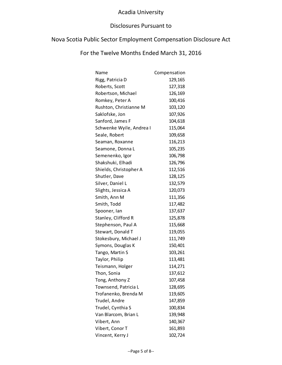#### Disclosures Pursuant to

# Nova Scotia Public Sector Employment Compensation Disclosure Act

| Name                     | Compensation |
|--------------------------|--------------|
| Rigg, Patricia D         | 129,165      |
| Roberts, Scott           | 127,318      |
| Robertson, Michael       | 126,169      |
| Romkey, Peter A          | 100,416      |
| Rushton, Christianne M   | 103,120      |
| Saklofske, Jon           | 107,926      |
| Sanford, James F         | 104,618      |
| Schwenke Wyile, Andrea I | 115,064      |
| Seale, Robert            | 109,658      |
| Seaman, Roxanne          | 116,213      |
| Seamone, Donna L         | 105,235      |
| Semenenko, Igor          | 106,798      |
| Shakshuki, Elhadi        | 126,796      |
| Shields, Christopher A   | 112,516      |
| Shutler, Dave            | 128,125      |
| Silver, Daniel L         | 132,579      |
| Slights, Jessica A       | 120,073      |
| Smith, Ann M             | 111,356      |
| Smith, Todd              | 117,482      |
| Spooner, lan             | 137,637      |
| Stanley, Clifford R      | 125,878      |
| Stephenson, Paul A       | 115,668      |
| Stewart, Donald T        | 119,055      |
| Stokesbury, Michael J    | 111,749      |
| Symons, Douglas K        | 150,401      |
| Tango, Martin S          | 103,261      |
| Taylor, Philip           | 113,481      |
| Teismann, Holger         | 114,271      |
| Thon, Sonia              | 137,612      |
| Tong, Anthony Z          | 107,458      |
| Townsend, Patricia L     | 128,695      |
| Trofanenko, Brenda M     | 119,605      |
| Trudel, Andre            | 147,859      |
| Trudel, Cynthia S        | 100,834      |
| Van Blarcom, Brian L     | 139,948      |
| Vibert, Ann              | 140,367      |
| Vibert, Conor T          | 161,893      |
| Vincent, Kerry J         | 102,724      |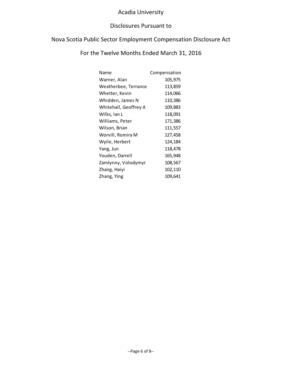#### Disclosures Pursuant to

# Nova Scotia Public Sector Employment Compensation Disclosure Act

| Name                  | Compensation |
|-----------------------|--------------|
| Warner, Alan          | 105,975      |
| Weatherbee, Terrance  | 113,859      |
| Whetter, Kevin        | 114,066      |
| Whidden, James N      | 110,386      |
| Whitehall, Geoffrey A | 109,883      |
| Wilks, Ian L          | 118,091      |
| Williams, Peter       | 171,386      |
| Wilson, Brian         | 111,557      |
| Worvill, Romira M     | 127,458      |
| Wyile, Herbert        | 124,184      |
| Yang, Jun             | 118,478      |
| Youden, Darrell       | 165,948      |
| Zamlynny, Volodymyr   | 108,567      |
| Zhang, Haiyi          | 102,110      |
| Zhang, Ying           | 109,641      |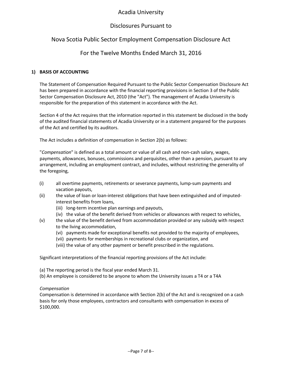#### Disclosures Pursuant to

## Nova Scotia Public Sector Employment Compensation Disclosure Act

#### For the Twelve Months Ended March 31, 2016

#### **1) BASIS OF ACCOUNTING**

The Statement of Compensation Required Pursuant to the Public Sector Compensation Disclosure Act has been prepared in accordance with the financial reporting provisions in Section 3 of the Public Sector Compensation Disclosure Act, 2010 (the "Act"). The management of Acadia University is responsible for the preparation of this statement in accordance with the Act.

Section 4 of the Act requires that the information reported in this statement be disclosed in the body of the audited financial statements of Acadia University or in a statement prepared for the purposes of the Act and certified by its auditors.

The Act includes a definition of compensation in Section 2(b) as follows:

"*Compensation*" is defined as a total amount or value of all cash and non-cash salary, wages, payments, allowances, bonuses, commissions and perquisites, other than a pension, pursuant to any arrangement, including an employment contract, and includes, without restricting the generality of the foregoing,

- (i) all overtime payments, retirements or severance payments, lump-sum payments and vacation payouts,
- (ii) the value of loan or loan-interest obligations that have been extinguished and of imputedinterest benefits from loans,
	- (iii) long-term incentive plan earnings and payouts,
	- (iv) the value of the benefit derived from vehicles or allowances with respect to vehicles,
- (v) the value of the benefit derived from accommodation provided or any subsidy with respect to the living accommodation,
	- (vi) payments made for exceptional benefits not provided to the majority of employees,
	- (vii) payments for memberships in recreational clubs or organization, and
	- (viii) the value of any other payment or benefit prescribed in the regulations.

Significant interpretations of the financial reporting provisions of the Act include:

- (a) The reporting period is the fiscal year ended March 31.
- (b) An employee is considered to be anyone to whom the University issues a T4 or a T4A

#### *Compensation*

Compensation is determined in accordance with Section 2(b) of the Act and is recognized on a cash basis for only those employees, contractors and consultants with compensation in excess of \$100,000.